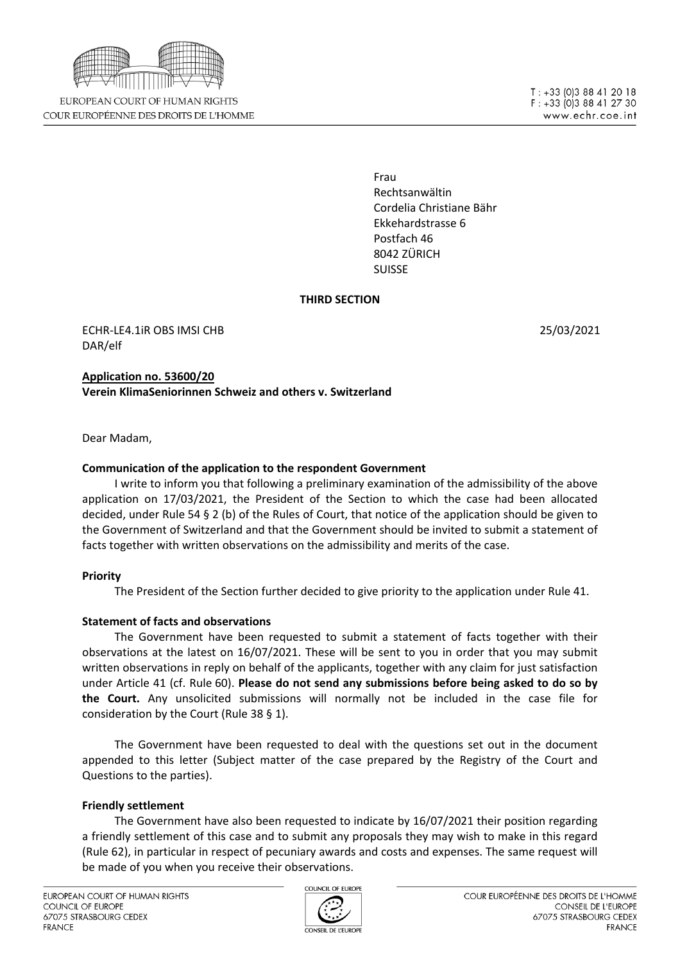

EUROPEAN COURT OF HUMAN RIGHTS COUR EUROPÉENNE DES DROITS DE L'HOMME

Frau Rechtsanwältin Cordelia Christiane Bähr Ekkehardstrasse 6 Postfach 46 8042 ZÜRICH SUISSE

## **THIRD SECTION**

ECHR-LE4.1iR OBS IMSI CHB 25/03/2021 DAR/elf

**Application no. 53600/20 Verein KlimaSeniorinnen Schweiz and others v. Switzerland**

Dear Madam,

# **Communication of the application to the respondent Government**

I write to inform you that following a preliminary examination of the admissibility of the above application on 17/03/2021, the President of the Section to which the case had been allocated decided, under Rule 54 § 2 (b) of the Rules of Court, that notice of the application should be given to the Government of Switzerland and that the Government should be invited to submit a statement of facts together with written observations on the admissibility and merits of the case.

## **Priority**

The President of the Section further decided to give priority to the application under Rule 41.

# **Statement of facts and observations**

The Government have been requested to submit a statement of facts together with their observations at the latest on 16/07/2021. These will be sent to you in order that you may submit written observations in reply on behalf of the applicants, together with any claim for just satisfaction under Article 41 (cf. Rule 60). **Please do not send any submissions before being asked to do so by the Court.** Any unsolicited submissions will normally not be included in the case file for consideration by the Court (Rule 38 § 1).

The Government have been requested to deal with the questions set out in the document appended to this letter (Subject matter of the case prepared by the Registry of the Court and Questions to the parties).

## **Friendly settlement**

The Government have also been requested to indicate by 16/07/2021 their position regarding a friendly settlement of this case and to submit any proposals they may wish to make in this regard (Rule 62), in particular in respect of pecuniary awards and costs and expenses. The same request will be made of you when you receive their observations.